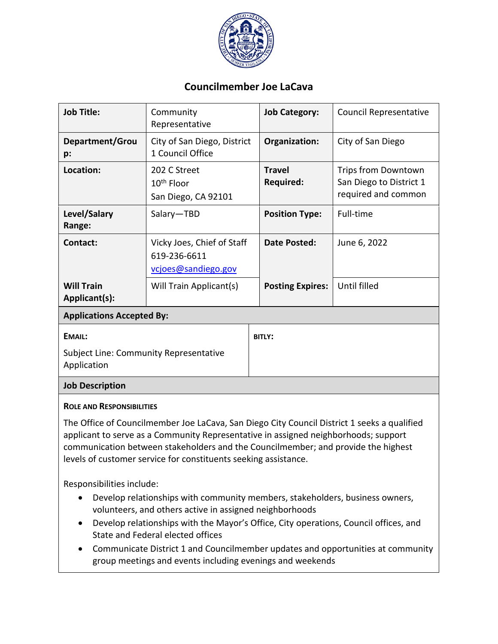

## **Councilmember Joe LaCava**

| <b>Job Title:</b>                                                      | Community<br>Representative                                       | <b>Job Category:</b>              | <b>Council Representative</b>                                         |
|------------------------------------------------------------------------|-------------------------------------------------------------------|-----------------------------------|-----------------------------------------------------------------------|
| Department/Grou<br>p:                                                  | City of San Diego, District<br>1 Council Office                   | Organization:                     | City of San Diego                                                     |
| Location:                                                              | 202 C Street<br>$10th$ Floor<br>San Diego, CA 92101               | <b>Travel</b><br><b>Required:</b> | Trips from Downtown<br>San Diego to District 1<br>required and common |
| Level/Salary<br>Range:                                                 | Salary-TBD                                                        | <b>Position Type:</b>             | Full-time                                                             |
| Contact:                                                               | Vicky Joes, Chief of Staff<br>619-236-6611<br>vcjoes@sandiego.gov | Date Posted:                      | June 6, 2022                                                          |
| <b>Will Train</b><br>Applicant(s):                                     | Will Train Applicant(s)                                           | <b>Posting Expires:</b>           | Until filled                                                          |
| <b>Applications Accepted By:</b>                                       |                                                                   |                                   |                                                                       |
| <b>EMAIL:</b><br>Subject Line: Community Representative<br>Application |                                                                   | <b>BITLY:</b>                     |                                                                       |
|                                                                        |                                                                   |                                   |                                                                       |

## **Job Description**

## **ROLE AND RESPONSIBILITIES**

The Office of Councilmember Joe LaCava, San Diego City Council District 1 seeks a qualified applicant to serve as a Community Representative in assigned neighborhoods; support communication between stakeholders and the Councilmember; and provide the highest levels of customer service for constituents seeking assistance.

Responsibilities include:

- Develop relationships with community members, stakeholders, business owners, volunteers, and others active in assigned neighborhoods
- Develop relationships with the Mayor's Office, City operations, Council offices, and State and Federal elected offices
- Communicate District 1 and Councilmember updates and opportunities at community group meetings and events including evenings and weekends